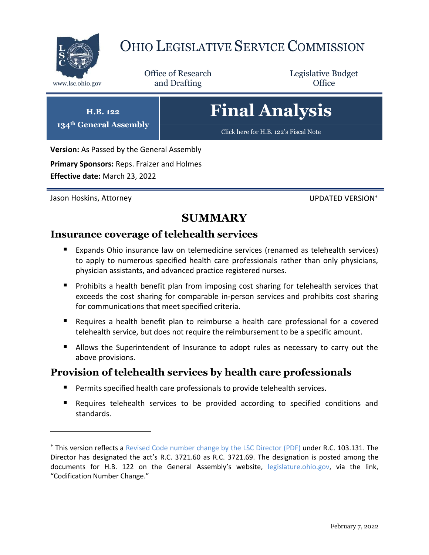

# OHIO LEGISLATIVE SERVICE COMMISSION

Office of Research www.lsc.ohio.gov **and Drafting Office** 

Legislative Budget

# **Final Analysis**

[Click here for H.B. 122](https://www.legislature.ohio.gov/legislation/legislation-documents?id=GA134-HB-122)'s Fiscal Note

**Version:** As Passed by the General Assembly

**Primary Sponsors:** Reps. Fraizer and Holmes

**Effective date:** March 23, 2022

**H.B. 122 134th General Assembly**

Jason Hoskins, Attorney UPDATED VERSION

 $\overline{a}$ 

## **SUMMARY**

## **Insurance coverage of telehealth services**

- Expands Ohio insurance law on telemedicine services (renamed as telehealth services) to apply to numerous specified health care professionals rather than only physicians, physician assistants, and advanced practice registered nurses.
- **Prohibits a health benefit plan from imposing cost sharing for telehealth services that** exceeds the cost sharing for comparable in-person services and prohibits cost sharing for communications that meet specified criteria.
- Requires a health benefit plan to reimburse a health care professional for a covered telehealth service, but does not require the reimbursement to be a specific amount.
- Allows the Superintendent of Insurance to adopt rules as necessary to carry out the above provisions.

## **Provision of telehealth services by health care professionals**

- Permits specified health care professionals to provide telehealth services.
- Requires telehealth services to be provided according to specified conditions and standards.

This version reflects a [Revised Code number change by the LSC Director](https://www.legislature.ohio.gov/download?key=18210&format=pdf) (PDF) under R.C. 103.131. The Director has designated the act's R.C. 3721.60 as R.C. 3721.69. The designation is posted among the documents for H.B. 122 on the General Assembly's website, [legislature.ohio.gov,](https://www.legislature.ohio.gov/) via the link, "Codification Number Change."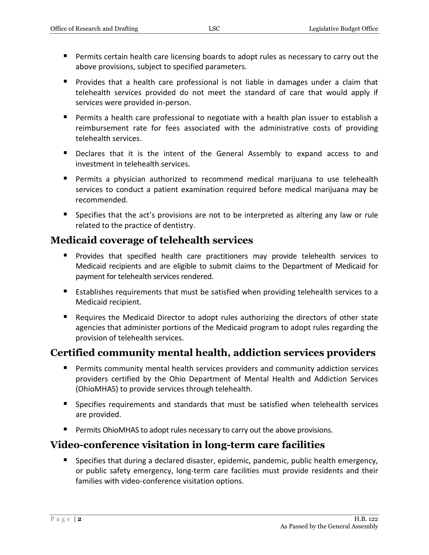- Permits certain health care licensing boards to adopt rules as necessary to carry out the above provisions, subject to specified parameters.
- Provides that a health care professional is not liable in damages under a claim that telehealth services provided do not meet the standard of care that would apply if services were provided in-person.
- Permits a health care professional to negotiate with a health plan issuer to establish a reimbursement rate for fees associated with the administrative costs of providing telehealth services.
- **Declares that it is the intent of the General Assembly to expand access to and** investment in telehealth services.
- Permits a physician authorized to recommend medical marijuana to use telehealth services to conduct a patient examination required before medical marijuana may be recommended.
- **Specifies that the act's provisions are not to be interpreted as altering any law or rule** related to the practice of dentistry.

## **Medicaid coverage of telehealth services**

- Provides that specified health care practitioners may provide telehealth services to Medicaid recipients and are eligible to submit claims to the Department of Medicaid for payment for telehealth services rendered.
- Establishes requirements that must be satisfied when providing telehealth services to a Medicaid recipient.
- Requires the Medicaid Director to adopt rules authorizing the directors of other state agencies that administer portions of the Medicaid program to adopt rules regarding the provision of telehealth services.

## **Certified community mental health, addiction services providers**

- **Permits community mental health services providers and community addiction services** providers certified by the Ohio Department of Mental Health and Addiction Services (OhioMHAS) to provide services through telehealth.
- Specifies requirements and standards that must be satisfied when telehealth services are provided.
- **Permits OhioMHAS to adopt rules necessary to carry out the above provisions.**

## **Video-conference visitation in long-term care facilities**

**Specifies that during a declared disaster, epidemic, pandemic, public health emergency,** or public safety emergency, long-term care facilities must provide residents and their families with video-conference visitation options.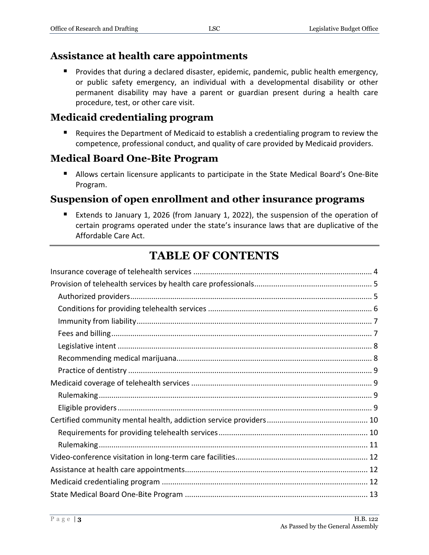## **Assistance at health care appointments**

 Provides that during a declared disaster, epidemic, pandemic, public health emergency, or public safety emergency, an individual with a developmental disability or other permanent disability may have a parent or guardian present during a health care procedure, test, or other care visit.

## **Medicaid credentialing program**

■ Requires the Department of Medicaid to establish a credentialing program to review the competence, professional conduct, and quality of care provided by Medicaid providers.

## **Medical Board One-Bite Program**

**Allows certain licensure applicants to participate in the State Medical Board's One-Bite** Program.

## **Suspension of open enrollment and other insurance programs**

 Extends to January 1, 2026 (from January 1, 2022), the suspension of the operation of certain programs operated under the state's insurance laws that are duplicative of the Affordable Care Act.

## **TABLE OF CONTENTS**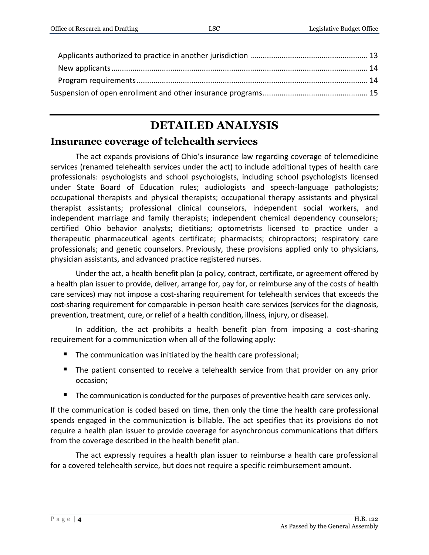## **DETAILED ANALYSIS**

## <span id="page-3-0"></span>**Insurance coverage of telehealth services**

The act expands provisions of Ohio's insurance law regarding coverage of telemedicine services (renamed telehealth services under the act) to include additional types of health care professionals: psychologists and school psychologists, including school psychologists licensed under State Board of Education rules; audiologists and speech-language pathologists; occupational therapists and physical therapists; occupational therapy assistants and physical therapist assistants; professional clinical counselors, independent social workers, and independent marriage and family therapists; independent chemical dependency counselors; certified Ohio behavior analysts; dietitians; optometrists licensed to practice under a therapeutic pharmaceutical agents certificate; pharmacists; chiropractors; respiratory care professionals; and genetic counselors. Previously, these provisions applied only to physicians, physician assistants, and advanced practice registered nurses.

Under the act, a health benefit plan (a policy, contract, certificate, or agreement offered by a health plan issuer to provide, deliver, arrange for, pay for, or reimburse any of the costs of health care services) may not impose a cost-sharing requirement for telehealth services that exceeds the cost-sharing requirement for comparable in-person health care services (services for the diagnosis, prevention, treatment, cure, or relief of a health condition, illness, injury, or disease).

In addition, the act prohibits a health benefit plan from imposing a cost-sharing requirement for a communication when all of the following apply:

- $\blacksquare$  The communication was initiated by the health care professional;
- **The patient consented to receive a telehealth service from that provider on any prior** occasion;
- The communication is conducted for the purposes of preventive health care services only.

If the communication is coded based on time, then only the time the health care professional spends engaged in the communication is billable. The act specifies that its provisions do not require a health plan issuer to provide coverage for asynchronous communications that differs from the coverage described in the health benefit plan.

The act expressly requires a health plan issuer to reimburse a health care professional for a covered telehealth service, but does not require a specific reimbursement amount.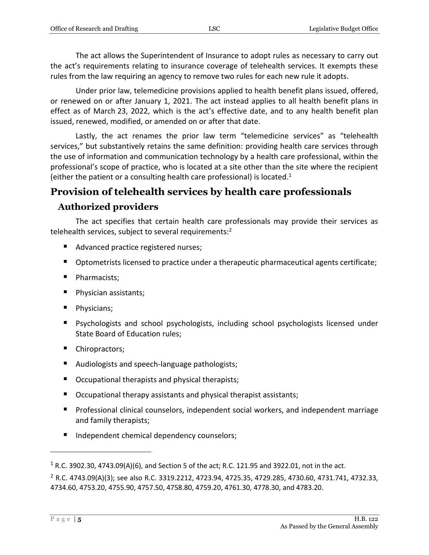The act allows the Superintendent of Insurance to adopt rules as necessary to carry out the act's requirements relating to insurance coverage of telehealth services. It exempts these rules from the law requiring an agency to remove two rules for each new rule it adopts.

Under prior law, telemedicine provisions applied to health benefit plans issued, offered, or renewed on or after January 1, 2021. The act instead applies to all health benefit plans in effect as of March 23, 2022, which is the act's effective date, and to any health benefit plan issued, renewed, modified, or amended on or after that date.

Lastly, the act renames the prior law term "telemedicine services" as "telehealth services," but substantively retains the same definition: providing health care services through the use of information and communication technology by a health care professional, within the professional's scope of practice, who is located at a site other than the site where the recipient (either the patient or a consulting health care professional) is located. $1$ 

## <span id="page-4-0"></span>**Provision of telehealth services by health care professionals Authorized providers**

<span id="page-4-1"></span>The act specifies that certain health care professionals may provide their services as telehealth services, subject to several requirements:<sup>2</sup>

- Advanced practice registered nurses;
- Optometrists licensed to practice under a therapeutic pharmaceutical agents certificate;
- Pharmacists;
- **Physician assistants;**
- **Physicians;**
- Psychologists and school psychologists, including school psychologists licensed under State Board of Education rules;
- Chiropractors;
- Audiologists and speech-language pathologists;
- Occupational therapists and physical therapists;
- Occupational therapy assistants and physical therapist assistants;
- Professional clinical counselors, independent social workers, and independent marriage and family therapists;
- Independent chemical dependency counselors;

<sup>&</sup>lt;sup>1</sup> R.C. 3902.30, 4743.09(A)(6), and Section 5 of the act; R.C. 121.95 and 3922.01, not in the act.

<sup>2</sup> R.C. 4743.09(A)(3); see also R.C. 3319.2212, 4723.94, 4725.35, 4729.285, 4730.60, 4731.741, 4732.33, 4734.60, 4753.20, 4755.90, 4757.50, 4758.80, 4759.20, 4761.30, 4778.30, and 4783.20.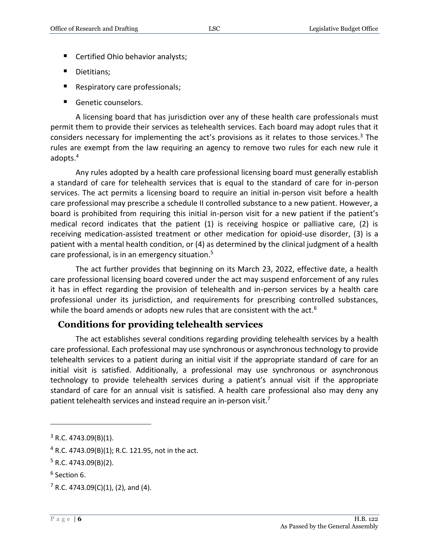- Certified Ohio behavior analysts;
- Dietitians;
- Respiratory care professionals;
- Genetic counselors.

A licensing board that has jurisdiction over any of these health care professionals must permit them to provide their services as telehealth services. Each board may adopt rules that it considers necessary for implementing the act's provisions as it relates to those services.<sup>3</sup> The rules are exempt from the law requiring an agency to remove two rules for each new rule it adopts.<sup>4</sup>

Any rules adopted by a health care professional licensing board must generally establish a standard of care for telehealth services that is equal to the standard of care for in-person services. The act permits a licensing board to require an initial in-person visit before a health care professional may prescribe a schedule II controlled substance to a new patient. However, a board is prohibited from requiring this initial in-person visit for a new patient if the patient's medical record indicates that the patient (1) is receiving hospice or palliative care, (2) is receiving medication-assisted treatment or other medication for opioid-use disorder, (3) is a patient with a mental health condition, or (4) as determined by the clinical judgment of a health care professional, is in an emergency situation.<sup>5</sup>

The act further provides that beginning on its March 23, 2022, effective date, a health care professional licensing board covered under the act may suspend enforcement of any rules it has in effect regarding the provision of telehealth and in-person services by a health care professional under its jurisdiction, and requirements for prescribing controlled substances, while the board amends or adopts new rules that are consistent with the act.<sup>6</sup>

### <span id="page-5-0"></span>**Conditions for providing telehealth services**

The act establishes several conditions regarding providing telehealth services by a health care professional. Each professional may use synchronous or asynchronous technology to provide telehealth services to a patient during an initial visit if the appropriate standard of care for an initial visit is satisfied. Additionally, a professional may use synchronous or asynchronous technology to provide telehealth services during a patient's annual visit if the appropriate standard of care for an annual visit is satisfied. A health care professional also may deny any patient telehealth services and instead require an in-person visit.<sup>7</sup>

 $4$  R.C. 4743.09(B)(1); R.C. 121.95, not in the act.

 $3$  R.C. 4743.09(B)(1).

 $5$  R.C. 4743.09(B)(2).

<sup>6</sup> Section 6.

 $7$  R.C. 4743.09(C)(1), (2), and (4).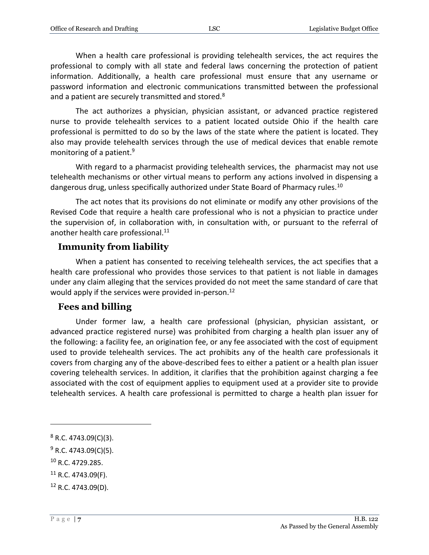When a health care professional is providing telehealth services, the act requires the professional to comply with all state and federal laws concerning the protection of patient information. Additionally, a health care professional must ensure that any username or password information and electronic communications transmitted between the professional and a patient are securely transmitted and stored.<sup>8</sup>

The act authorizes a physician, physician assistant, or advanced practice registered nurse to provide telehealth services to a patient located outside Ohio if the health care professional is permitted to do so by the laws of the state where the patient is located. They also may provide telehealth services through the use of medical devices that enable remote monitoring of a patient.<sup>9</sup>

With regard to a pharmacist providing telehealth services, the pharmacist may not use telehealth mechanisms or other virtual means to perform any actions involved in dispensing a dangerous drug, unless specifically authorized under State Board of Pharmacy rules.<sup>10</sup>

The act notes that its provisions do not eliminate or modify any other provisions of the Revised Code that require a health care professional who is not a physician to practice under the supervision of, in collaboration with, in consultation with, or pursuant to the referral of another health care professional.<sup>11</sup>

## <span id="page-6-0"></span>**Immunity from liability**

When a patient has consented to receiving telehealth services, the act specifies that a health care professional who provides those services to that patient is not liable in damages under any claim alleging that the services provided do not meet the same standard of care that would apply if the services were provided in-person.<sup>12</sup>

### <span id="page-6-1"></span>**Fees and billing**

Under former law, a health care professional (physician, physician assistant, or advanced practice registered nurse) was prohibited from charging a health plan issuer any of the following: a facility fee, an origination fee, or any fee associated with the cost of equipment used to provide telehealth services. The act prohibits any of the health care professionals it covers from charging any of the above-described fees to either a patient or a health plan issuer covering telehealth services. In addition, it clarifies that the prohibition against charging a fee associated with the cost of equipment applies to equipment used at a provider site to provide telehealth services. A health care professional is permitted to charge a health plan issuer for

<sup>10</sup> R.C. 4729.285.

 $8$  R.C. 4743.09(C)(3).

<sup>&</sup>lt;sup>9</sup> R.C. 4743.09(C)(5).

 $11$  R.C. 4743.09(F).

 $12$  R.C. 4743.09(D).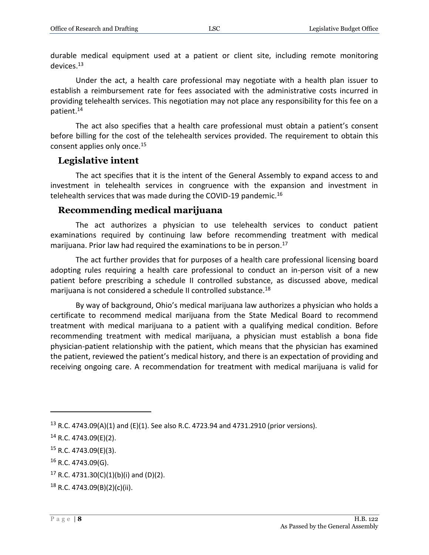durable medical equipment used at a patient or client site, including remote monitoring devices.<sup>13</sup>

Under the act, a health care professional may negotiate with a health plan issuer to establish a reimbursement rate for fees associated with the administrative costs incurred in providing telehealth services. This negotiation may not place any responsibility for this fee on a patient.<sup>14</sup>

The act also specifies that a health care professional must obtain a patient's consent before billing for the cost of the telehealth services provided. The requirement to obtain this consent applies only once.<sup>15</sup>

#### <span id="page-7-0"></span>**Legislative intent**

The act specifies that it is the intent of the General Assembly to expand access to and investment in telehealth services in congruence with the expansion and investment in telehealth services that was made during the COVID-19 pandemic.<sup>16</sup>

#### <span id="page-7-1"></span>**Recommending medical marijuana**

The act authorizes a physician to use telehealth services to conduct patient examinations required by continuing law before recommending treatment with medical marijuana. Prior law had required the examinations to be in person.<sup>17</sup>

The act further provides that for purposes of a health care professional licensing board adopting rules requiring a health care professional to conduct an in-person visit of a new patient before prescribing a schedule II controlled substance, as discussed above, medical marijuana is not considered a schedule II controlled substance.<sup>18</sup>

By way of background, Ohio's medical marijuana law authorizes a physician who holds a certificate to recommend medical marijuana from the State Medical Board to recommend treatment with medical marijuana to a patient with a qualifying medical condition. Before recommending treatment with medical marijuana, a physician must establish a bona fide physician-patient relationship with the patient, which means that the physician has examined the patient, reviewed the patient's medical history, and there is an expectation of providing and receiving ongoing care. A recommendation for treatment with medical marijuana is valid for

<sup>15</sup> R.C. 4743.09(E)(3).

<sup>&</sup>lt;sup>13</sup> R.C. 4743.09(A)(1) and (E)(1). See also R.C. 4723.94 and 4731.2910 (prior versions).

 $14$  R.C. 4743.09(E)(2).

 $16$  R.C. 4743.09(G).

<sup>&</sup>lt;sup>17</sup> R.C. 4731.30(C)(1)(b)(i) and (D)(2).

 $18$  R.C. 4743.09(B)(2)(c)(ii).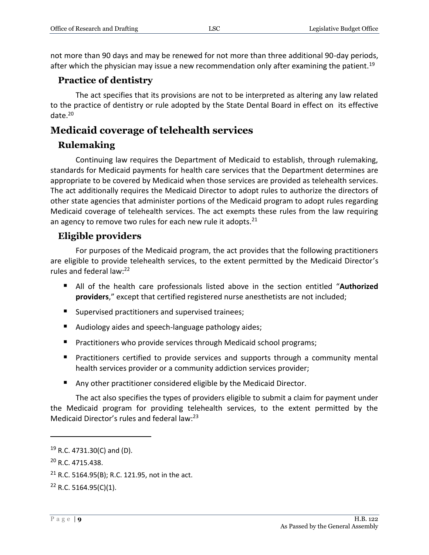not more than 90 days and may be renewed for not more than three additional 90-day periods, after which the physician may issue a new recommendation only after examining the patient.<sup>19</sup>

## <span id="page-8-0"></span>**Practice of dentistry**

The act specifies that its provisions are not to be interpreted as altering any law related to the practice of dentistry or rule adopted by the State Dental Board in effect on its effective date.<sup>20</sup>

## <span id="page-8-1"></span>**Medicaid coverage of telehealth services**

## <span id="page-8-2"></span>**Rulemaking**

Continuing law requires the Department of Medicaid to establish, through rulemaking, standards for Medicaid payments for health care services that the Department determines are appropriate to be covered by Medicaid when those services are provided as telehealth services. The act additionally requires the Medicaid Director to adopt rules to authorize the directors of other state agencies that administer portions of the Medicaid program to adopt rules regarding Medicaid coverage of telehealth services. The act exempts these rules from the law requiring an agency to remove two rules for each new rule it adopts. $21$ 

## <span id="page-8-3"></span>**Eligible providers**

For purposes of the Medicaid program, the act provides that the following practitioners are eligible to provide telehealth services, to the extent permitted by the Medicaid Director's rules and federal law:<sup>22</sup>

- All of the health care professionals listed above in the section entitled "**Authorized providers**," except that certified registered nurse anesthetists are not included;
- **Supervised practitioners and supervised trainees;**
- Audiology aides and speech-language pathology aides;
- **Practitioners who provide services through Medicaid school programs;**
- **Practitioners certified to provide services and supports through a community mental** health services provider or a community addiction services provider;
- Any other practitioner considered eligible by the Medicaid Director.

The act also specifies the types of providers eligible to submit a claim for payment under the Medicaid program for providing telehealth services, to the extent permitted by the Medicaid Director's rules and federal law:<sup>23</sup>

 $19$  R.C. 4731.30(C) and (D).

<sup>20</sup> R.C. 4715.438.

 $21$  R.C. 5164.95(B); R.C. 121.95, not in the act.

 $22$  R.C. 5164.95(C)(1).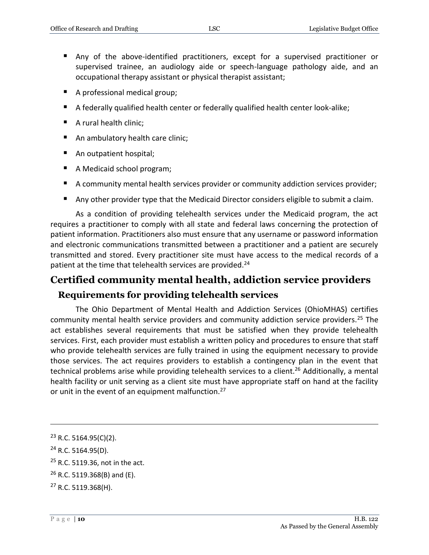- Any of the above-identified practitioners, except for a supervised practitioner or supervised trainee, an audiology aide or speech-language pathology aide, and an occupational therapy assistant or physical therapist assistant;
- A professional medical group;
- A federally qualified health center or federally qualified health center look-alike;
- A rural health clinic;
- An ambulatory health care clinic;
- An outpatient hospital;
- A Medicaid school program;
- A community mental health services provider or community addiction services provider;
- Any other provider type that the Medicaid Director considers eligible to submit a claim.

As a condition of providing telehealth services under the Medicaid program, the act requires a practitioner to comply with all state and federal laws concerning the protection of patient information. Practitioners also must ensure that any username or password information and electronic communications transmitted between a practitioner and a patient are securely transmitted and stored. Every practitioner site must have access to the medical records of a patient at the time that telehealth services are provided.<sup>24</sup>

## <span id="page-9-0"></span>**Certified community mental health, addiction service providers**

### <span id="page-9-1"></span>**Requirements for providing telehealth services**

The Ohio Department of Mental Health and Addiction Services (OhioMHAS) certifies community mental health service providers and community addiction service providers.<sup>25</sup> The act establishes several requirements that must be satisfied when they provide telehealth services. First, each provider must establish a written policy and procedures to ensure that staff who provide telehealth services are fully trained in using the equipment necessary to provide those services. The act requires providers to establish a contingency plan in the event that technical problems arise while providing telehealth services to a client.<sup>26</sup> Additionally, a mental health facility or unit serving as a client site must have appropriate staff on hand at the facility or unit in the event of an equipment malfunction.<sup>27</sup>

<sup>23</sup> R.C. 5164.95(C)(2).

<sup>24</sup> R.C. 5164.95(D).

<sup>&</sup>lt;sup>25</sup> R.C. 5119.36, not in the act.

 $26$  R.C. 5119.368(B) and (E).

<sup>27</sup> R.C. 5119.368(H).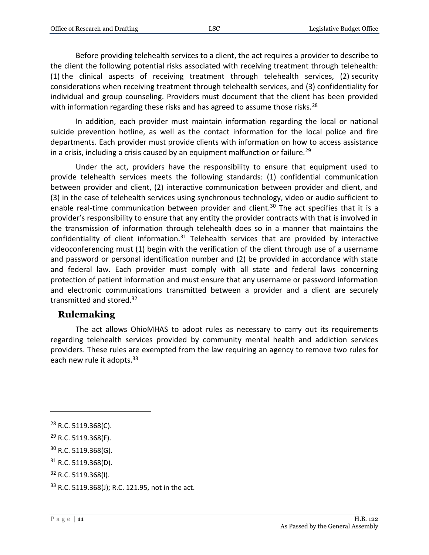Before providing telehealth services to a client, the act requires a provider to describe to the client the following potential risks associated with receiving treatment through telehealth: (1) the clinical aspects of receiving treatment through telehealth services, (2) security considerations when receiving treatment through telehealth services, and (3) confidentiality for individual and group counseling. Providers must document that the client has been provided with information regarding these risks and has agreed to assume those risks.<sup>28</sup>

In addition, each provider must maintain information regarding the local or national suicide prevention hotline, as well as the contact information for the local police and fire departments. Each provider must provide clients with information on how to access assistance in a crisis, including a crisis caused by an equipment malfunction or failure.<sup>29</sup>

Under the act, providers have the responsibility to ensure that equipment used to provide telehealth services meets the following standards: (1) confidential communication between provider and client, (2) interactive communication between provider and client, and (3) in the case of telehealth services using synchronous technology, video or audio sufficient to enable real-time communication between provider and client.<sup>30</sup> The act specifies that it is a provider's responsibility to ensure that any entity the provider contracts with that is involved in the transmission of information through telehealth does so in a manner that maintains the confidentiality of client information. $31$  Telehealth services that are provided by interactive videoconferencing must (1) begin with the verification of the client through use of a username and password or personal identification number and (2) be provided in accordance with state and federal law. Each provider must comply with all state and federal laws concerning protection of patient information and must ensure that any username or password information and electronic communications transmitted between a provider and a client are securely transmitted and stored.<sup>32</sup>

#### <span id="page-10-0"></span>**Rulemaking**

The act allows OhioMHAS to adopt rules as necessary to carry out its requirements regarding telehealth services provided by community mental health and addiction services providers. These rules are exempted from the law requiring an agency to remove two rules for each new rule it adopts.<sup>33</sup>

<sup>28</sup> R.C. 5119.368(C).

<sup>29</sup> R.C. 5119.368(F).

<sup>30</sup> R.C. 5119.368(G).

 $31$  R.C. 5119.368(D).

<sup>32</sup> R.C. 5119.368(I).

<sup>33</sup> R.C. 5119.368(J); R.C. 121.95, not in the act.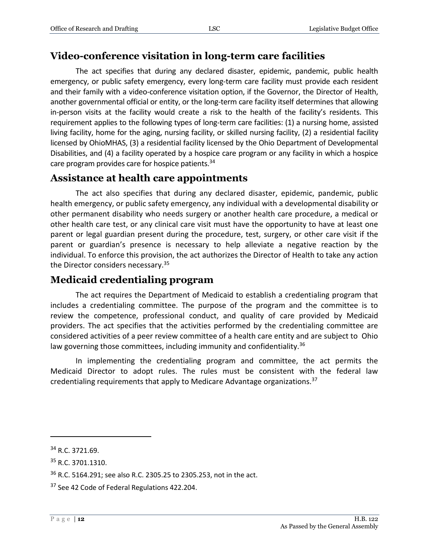## <span id="page-11-0"></span>**Video-conference visitation in long-term care facilities**

The act specifies that during any declared disaster, epidemic, pandemic, public health emergency, or public safety emergency, every long-term care facility must provide each resident and their family with a video-conference visitation option, if the Governor, the Director of Health, another governmental official or entity, or the long-term care facility itself determines that allowing in-person visits at the facility would create a risk to the health of the facility's residents. This requirement applies to the following types of long-term care facilities: (1) a nursing home, assisted living facility, home for the aging, nursing facility, or skilled nursing facility, (2) a residential facility licensed by OhioMHAS, (3) a residential facility licensed by the Ohio Department of Developmental Disabilities, and (4) a facility operated by a hospice care program or any facility in which a hospice care program provides care for hospice patients.<sup>34</sup>

## <span id="page-11-1"></span>**Assistance at health care appointments**

The act also specifies that during any declared disaster, epidemic, pandemic, public health emergency, or public safety emergency, any individual with a developmental disability or other permanent disability who needs surgery or another health care procedure, a medical or other health care test, or any clinical care visit must have the opportunity to have at least one parent or legal guardian present during the procedure, test, surgery, or other care visit if the parent or guardian's presence is necessary to help alleviate a negative reaction by the individual. To enforce this provision, the act authorizes the Director of Health to take any action the Director considers necessary.<sup>35</sup>

## <span id="page-11-2"></span>**Medicaid credentialing program**

The act requires the Department of Medicaid to establish a credentialing program that includes a credentialing committee. The purpose of the program and the committee is to review the competence, professional conduct, and quality of care provided by Medicaid providers. The act specifies that the activities performed by the credentialing committee are considered activities of a peer review committee of a health care entity and are subject to Ohio law governing those committees, including immunity and confidentiality.<sup>36</sup>

In implementing the credentialing program and committee, the act permits the Medicaid Director to adopt rules. The rules must be consistent with the federal law credentialing requirements that apply to Medicare Advantage organizations.<sup>37</sup>

<sup>34</sup> R.C. 3721.69.

<sup>35</sup> R.C. 3701.1310.

<sup>36</sup> R.C. 5164.291; see also R.C. 2305.25 to 2305.253, not in the act.

<sup>&</sup>lt;sup>37</sup> See 42 Code of Federal Regulations 422.204.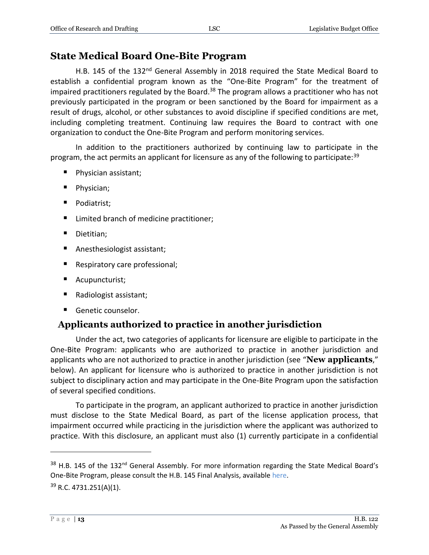## <span id="page-12-0"></span>**State Medical Board One-Bite Program**

H.B. 145 of the 132<sup>nd</sup> General Assembly in 2018 required the State Medical Board to establish a confidential program known as the "One-Bite Program" for the treatment of impaired practitioners regulated by the Board.<sup>38</sup> The program allows a practitioner who has not previously participated in the program or been sanctioned by the Board for impairment as a result of drugs, alcohol, or other substances to avoid discipline if specified conditions are met, including completing treatment. Continuing law requires the Board to contract with one organization to conduct the One-Bite Program and perform monitoring services.

In addition to the practitioners authorized by continuing law to participate in the program, the act permits an applicant for licensure as any of the following to participate:<sup>39</sup>

- Physician assistant;
- Physician;
- **Podiatrist;**
- Limited branch of medicine practitioner;
- Dietitian;
- Anesthesiologist assistant;
- Respiratory care professional;
- Acupuncturist;
- Radiologist assistant;
- Genetic counselor.

## <span id="page-12-1"></span>**Applicants authorized to practice in another jurisdiction**

Under the act, two categories of applicants for licensure are eligible to participate in the One-Bite Program: applicants who are authorized to practice in another jurisdiction and applicants who are not authorized to practice in another jurisdiction (see "**New applicants**," below). An applicant for licensure who is authorized to practice in another jurisdiction is not subject to disciplinary action and may participate in the One-Bite Program upon the satisfaction of several specified conditions.

To participate in the program, an applicant authorized to practice in another jurisdiction must disclose to the State Medical Board, as part of the license application process, that impairment occurred while practicing in the jurisdiction where the applicant was authorized to practice. With this disclosure, an applicant must also (1) currently participate in a confidential

 $38$  H.B. 145 of the 132<sup>nd</sup> General Assembly. For more information regarding the State Medical Board's One-Bite Program, please consult the H.B. 145 Final Analysis, available [here.](https://www.legislature.ohio.gov/download?key=9378&format=pdf) <sup>39</sup> R.C. 4731.251(A)(1).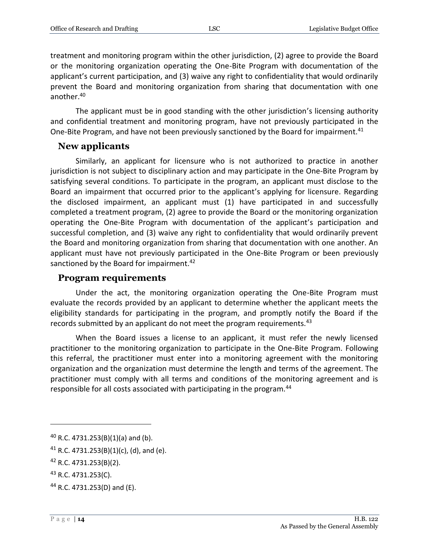treatment and monitoring program within the other jurisdiction, (2) agree to provide the Board or the monitoring organization operating the One-Bite Program with documentation of the applicant's current participation, and (3) waive any right to confidentiality that would ordinarily prevent the Board and monitoring organization from sharing that documentation with one another.<sup>40</sup>

The applicant must be in good standing with the other jurisdiction's licensing authority and confidential treatment and monitoring program, have not previously participated in the One-Bite Program, and have not been previously sanctioned by the Board for impairment.<sup>41</sup>

#### <span id="page-13-0"></span>**New applicants**

Similarly, an applicant for licensure who is not authorized to practice in another jurisdiction is not subject to disciplinary action and may participate in the One-Bite Program by satisfying several conditions. To participate in the program, an applicant must disclose to the Board an impairment that occurred prior to the applicant's applying for licensure. Regarding the disclosed impairment, an applicant must (1) have participated in and successfully completed a treatment program, (2) agree to provide the Board or the monitoring organization operating the One-Bite Program with documentation of the applicant's participation and successful completion, and (3) waive any right to confidentiality that would ordinarily prevent the Board and monitoring organization from sharing that documentation with one another. An applicant must have not previously participated in the One-Bite Program or been previously sanctioned by the Board for impairment.<sup>42</sup>

#### <span id="page-13-1"></span>**Program requirements**

Under the act, the monitoring organization operating the One-Bite Program must evaluate the records provided by an applicant to determine whether the applicant meets the eligibility standards for participating in the program, and promptly notify the Board if the records submitted by an applicant do not meet the program requirements. $43$ 

When the Board issues a license to an applicant, it must refer the newly licensed practitioner to the monitoring organization to participate in the One-Bite Program. Following this referral, the practitioner must enter into a monitoring agreement with the monitoring organization and the organization must determine the length and terms of the agreement. The practitioner must comply with all terms and conditions of the monitoring agreement and is responsible for all costs associated with participating in the program.<sup>44</sup>

 $40$  R.C. 4731.253(B)(1)(a) and (b).

<sup>&</sup>lt;sup>41</sup> R.C. 4731.253(B)(1)(c), (d), and (e).

<sup>42</sup> R.C. 4731.253(B)(2).

<sup>43</sup> R.C. 4731.253(C).

<sup>44</sup> R.C. 4731.253(D) and (E).